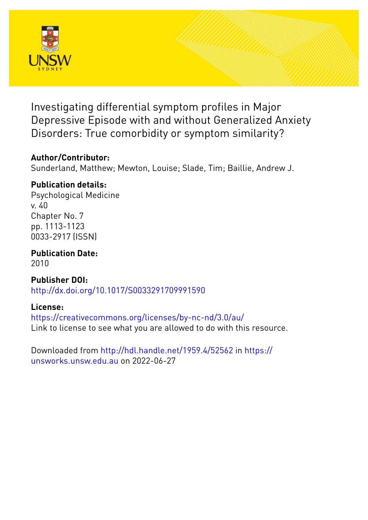

Investigating differential symptom profiles in Major Depressive Episode with and without Generalized Anxiety Disorders: True comorbidity or symptom similarity?

# **Author/Contributor:**

Sunderland, Matthew; Mewton, Louise; Slade, Tim; Baillie, Andrew J.

# **Publication details:**

Psychological Medicine v. 40 Chapter No. 7 pp. 1113-1123 0033-2917 (ISSN)

**Publication Date:** 2010

**Publisher DOI:** [http://dx.doi.org/10.1017/S0033291709991590](http://dx.doi.org/http://dx.doi.org/10.1017/S0033291709991590)

# **License:**

<https://creativecommons.org/licenses/by-nc-nd/3.0/au/> Link to license to see what you are allowed to do with this resource.

Downloaded from <http://hdl.handle.net/1959.4/52562> in [https://](https://unsworks.unsw.edu.au) [unsworks.unsw.edu.au](https://unsworks.unsw.edu.au) on 2022-06-27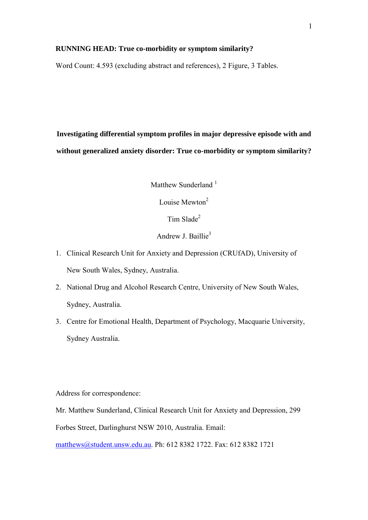## **RUNNING HEAD: True co-morbidity or symptom similarity?**

Word Count: 4.593 (excluding abstract and references), 2 Figure, 3 Tables.

**Investigating differential symptom profiles in major depressive episode with and without generalized anxiety disorder: True co-morbidity or symptom similarity?**

Matthew Sunderland<sup>1</sup>

Louise Mewton<sup>2</sup>

Tim Slade<sup>2</sup>

Andrew J. Baillie<sup>3</sup>

- 1. Clinical Research Unit for Anxiety and Depression (CRUfAD), University of New South Wales, Sydney, Australia.
- 2. National Drug and Alcohol Research Centre, University of New South Wales, Sydney, Australia.
- 3. Centre for Emotional Health, Department of Psychology, Macquarie University, Sydney Australia.

Address for correspondence:

Mr. Matthew Sunderland, Clinical Research Unit for Anxiety and Depression, 299 Forbes Street, Darlinghurst NSW 2010, Australia. Email: [matthews@student.unsw.edu.au.](mailto:matthews@student.unsw.edu.au) Ph: 612 8382 1722. Fax: 612 8382 1721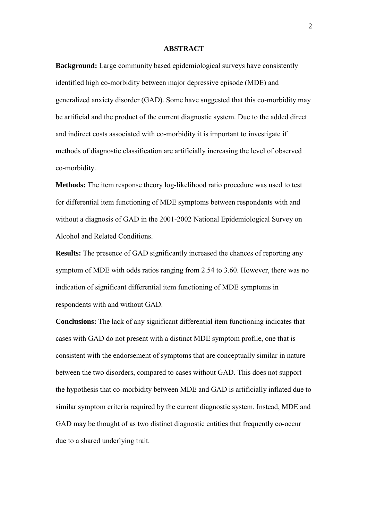#### **ABSTRACT**

**Background:** Large community based epidemiological surveys have consistently identified high co-morbidity between major depressive episode (MDE) and generalized anxiety disorder (GAD). Some have suggested that this co-morbidity may be artificial and the product of the current diagnostic system. Due to the added direct and indirect costs associated with co-morbidity it is important to investigate if methods of diagnostic classification are artificially increasing the level of observed co-morbidity.

**Methods:** The item response theory log-likelihood ratio procedure was used to test for differential item functioning of MDE symptoms between respondents with and without a diagnosis of GAD in the 2001-2002 National Epidemiological Survey on Alcohol and Related Conditions.

**Results:** The presence of GAD significantly increased the chances of reporting any symptom of MDE with odds ratios ranging from 2.54 to 3.60. However, there was no indication of significant differential item functioning of MDE symptoms in respondents with and without GAD.

**Conclusions:** The lack of any significant differential item functioning indicates that cases with GAD do not present with a distinct MDE symptom profile, one that is consistent with the endorsement of symptoms that are conceptually similar in nature between the two disorders, compared to cases without GAD. This does not support the hypothesis that co-morbidity between MDE and GAD is artificially inflated due to similar symptom criteria required by the current diagnostic system. Instead, MDE and GAD may be thought of as two distinct diagnostic entities that frequently co-occur due to a shared underlying trait.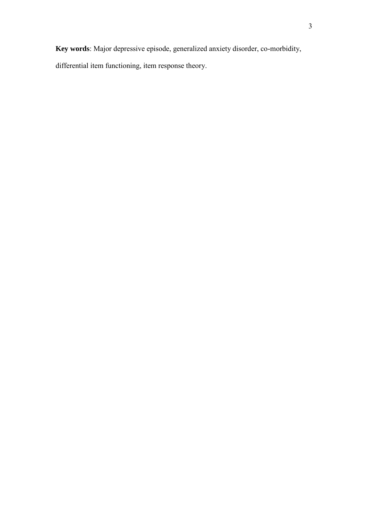**Key words**: Major depressive episode, generalized anxiety disorder, co-morbidity, differential item functioning, item response theory.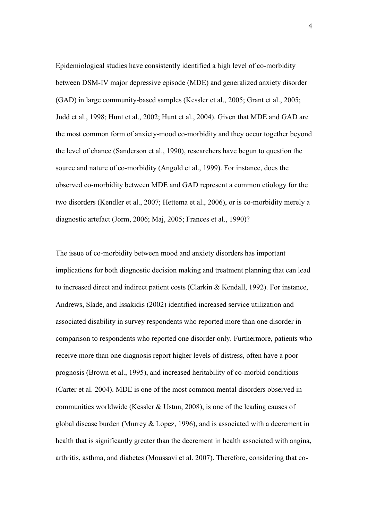Epidemiological studies have consistently identified a high level of co-morbidity between DSM-IV major depressive episode (MDE) and generalized anxiety disorder (GAD) in large community-based samples (Kessler et al., 2005; Grant et al., 2005; Judd et al., 1998; Hunt et al., 2002; Hunt et al., 2004). Given that MDE and GAD are the most common form of anxiety-mood co-morbidity and they occur together beyond the level of chance (Sanderson et al., 1990), researchers have begun to question the source and nature of co-morbidity (Angold et al., 1999). For instance, does the observed co-morbidity between MDE and GAD represent a common etiology for the two disorders (Kendler et al., 2007; Hettema et al., 2006), or is co-morbidity merely a diagnostic artefact (Jorm, 2006; Maj, 2005; Frances et al., 1990)?

The issue of co-morbidity between mood and anxiety disorders has important implications for both diagnostic decision making and treatment planning that can lead to increased direct and indirect patient costs (Clarkin & Kendall, 1992). For instance, Andrews, Slade, and Issakidis (2002) identified increased service utilization and associated disability in survey respondents who reported more than one disorder in comparison to respondents who reported one disorder only. Furthermore, patients who receive more than one diagnosis report higher levels of distress, often have a poor prognosis (Brown et al., 1995), and increased heritability of co-morbid conditions (Carter et al. 2004). MDE is one of the most common mental disorders observed in communities worldwide (Kessler & Ustun, 2008), is one of the leading causes of global disease burden (Murrey & Lopez, 1996), and is associated with a decrement in health that is significantly greater than the decrement in health associated with angina, arthritis, asthma, and diabetes (Moussavi et al. 2007). Therefore, considering that co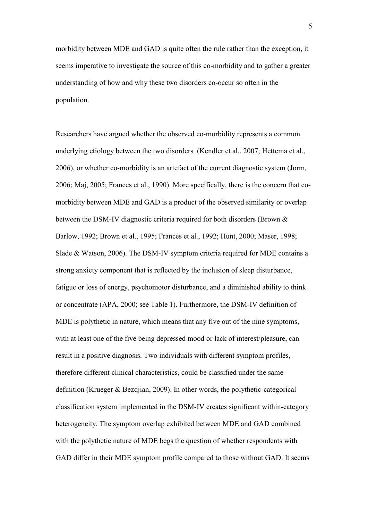morbidity between MDE and GAD is quite often the rule rather than the exception, it seems imperative to investigate the source of this co-morbidity and to gather a greater understanding of how and why these two disorders co-occur so often in the population.

Researchers have argued whether the observed co-morbidity represents a common underlying etiology between the two disorders (Kendler et al., 2007; Hettema et al., 2006), or whether co-morbidity is an artefact of the current diagnostic system (Jorm, 2006; Maj, 2005; Frances et al., 1990). More specifically, there is the concern that comorbidity between MDE and GAD is a product of the observed similarity or overlap between the DSM-IV diagnostic criteria required for both disorders (Brown & Barlow, 1992; Brown et al., 1995; Frances et al., 1992; Hunt, 2000; Maser, 1998; Slade & Watson, 2006). The DSM-IV symptom criteria required for MDE contains a strong anxiety component that is reflected by the inclusion of sleep disturbance, fatigue or loss of energy, psychomotor disturbance, and a diminished ability to think or concentrate (APA, 2000; see Table 1). Furthermore, the DSM-IV definition of MDE is polythetic in nature, which means that any five out of the nine symptoms, with at least one of the five being depressed mood or lack of interest/pleasure, can result in a positive diagnosis. Two individuals with different symptom profiles, therefore different clinical characteristics, could be classified under the same definition (Krueger & Bezdjian, 2009). In other words, the polythetic-categorical classification system implemented in the DSM-IV creates significant within-category heterogeneity. The symptom overlap exhibited between MDE and GAD combined with the polythetic nature of MDE begs the question of whether respondents with GAD differ in their MDE symptom profile compared to those without GAD. It seems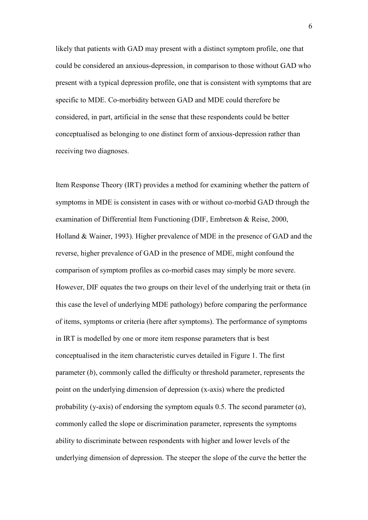likely that patients with GAD may present with a distinct symptom profile, one that could be considered an anxious-depression, in comparison to those without GAD who present with a typical depression profile, one that is consistent with symptoms that are specific to MDE. Co-morbidity between GAD and MDE could therefore be considered, in part, artificial in the sense that these respondents could be better conceptualised as belonging to one distinct form of anxious-depression rather than receiving two diagnoses.

Item Response Theory (IRT) provides a method for examining whether the pattern of symptoms in MDE is consistent in cases with or without co-morbid GAD through the examination of Differential Item Functioning (DIF, Embretson & Reise, 2000, Holland & Wainer, 1993). Higher prevalence of MDE in the presence of GAD and the reverse, higher prevalence of GAD in the presence of MDE, might confound the comparison of symptom profiles as co-morbid cases may simply be more severe. However, DIF equates the two groups on their level of the underlying trait or theta (in this case the level of underlying MDE pathology) before comparing the performance of items, symptoms or criteria (here after symptoms). The performance of symptoms in IRT is modelled by one or more item response parameters that is best conceptualised in the item characteristic curves detailed in Figure 1. The first parameter (*b*), commonly called the difficulty or threshold parameter, represents the point on the underlying dimension of depression (x-axis) where the predicted probability (y-axis) of endorsing the symptom equals 0.5. The second parameter (*a*), commonly called the slope or discrimination parameter, represents the symptoms ability to discriminate between respondents with higher and lower levels of the underlying dimension of depression. The steeper the slope of the curve the better the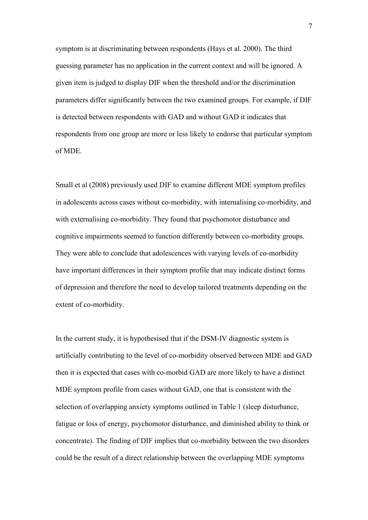symptom is at discriminating between respondents (Hays et al. 2000). The third guessing parameter has no application in the current context and will be ignored. A given item is judged to display DIF when the threshold and/or the discrimination parameters differ significantly between the two examined groups. For example, if DIF is detected between respondents with GAD and without GAD it indicates that respondents from one group are more or less likely to endorse that particular symptom of MDE.

Small et al (2008) previously used DIF to examine different MDE symptom profiles in adolescents across cases without co-morbidity, with internalising co-morbidity, and with externalising co-morbidity. They found that psychomotor disturbance and cognitive impairments seemed to function differently between co-morbidity groups. They were able to conclude that adolescences with varying levels of co-morbidity have important differences in their symptom profile that may indicate distinct forms of depression and therefore the need to develop tailored treatments depending on the extent of co-morbidity.

In the current study, it is hypothesised that if the DSM-IV diagnostic system is artificially contributing to the level of co-morbidity observed between MDE and GAD then it is expected that cases with co-morbid GAD are more likely to have a distinct MDE symptom profile from cases without GAD, one that is consistent with the selection of overlapping anxiety symptoms outlined in Table 1 (sleep disturbance, fatigue or loss of energy, psychomotor disturbance, and diminished ability to think or concentrate). The finding of DIF implies that co-morbidity between the two disorders could be the result of a direct relationship between the overlapping MDE symptoms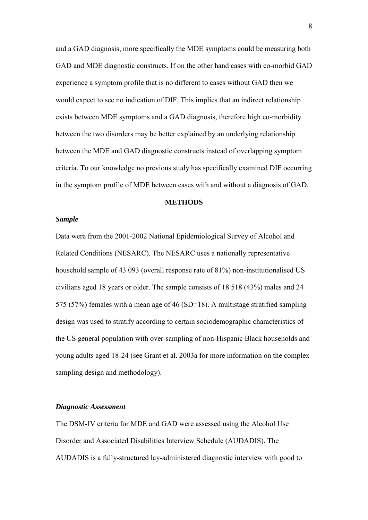and a GAD diagnosis, more specifically the MDE symptoms could be measuring both GAD and MDE diagnostic constructs. If on the other hand cases with co-morbid GAD experience a symptom profile that is no different to cases without GAD then we would expect to see no indication of DIF. This implies that an indirect relationship exists between MDE symptoms and a GAD diagnosis, therefore high co-morbidity between the two disorders may be better explained by an underlying relationship between the MDE and GAD diagnostic constructs instead of overlapping symptom criteria. To our knowledge no previous study has specifically examined DIF occurring in the symptom profile of MDE between cases with and without a diagnosis of GAD.

#### **METHODS**

### *Sample*

Data were from the 2001-2002 National Epidemiological Survey of Alcohol and Related Conditions (NESARC). The NESARC uses a nationally representative household sample of 43 093 (overall response rate of 81%) non-institutionalised US civilians aged 18 years or older. The sample consists of 18 518 (43%) males and 24 575 (57%) females with a mean age of 46 (SD=18). A multistage stratified sampling design was used to stratify according to certain sociodemographic characteristics of the US general population with over-sampling of non-Hispanic Black households and young adults aged 18-24 (see Grant et al. 2003a for more information on the complex sampling design and methodology).

## *Diagnostic Assessment*

The DSM-IV criteria for MDE and GAD were assessed using the Alcohol Use Disorder and Associated Disabilities Interview Schedule (AUDADIS). The AUDADIS is a fully-structured lay-administered diagnostic interview with good to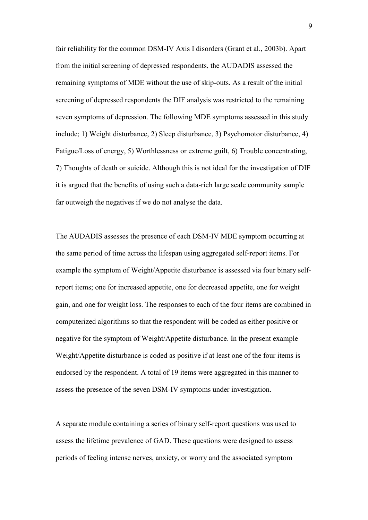fair reliability for the common DSM-IV Axis I disorders (Grant et al., 2003b). Apart from the initial screening of depressed respondents, the AUDADIS assessed the remaining symptoms of MDE without the use of skip-outs. As a result of the initial screening of depressed respondents the DIF analysis was restricted to the remaining seven symptoms of depression. The following MDE symptoms assessed in this study include; 1) Weight disturbance, 2) Sleep disturbance, 3) Psychomotor disturbance, 4) Fatigue/Loss of energy, 5) Worthlessness or extreme guilt, 6) Trouble concentrating, 7) Thoughts of death or suicide. Although this is not ideal for the investigation of DIF it is argued that the benefits of using such a data-rich large scale community sample far outweigh the negatives if we do not analyse the data.

The AUDADIS assesses the presence of each DSM-IV MDE symptom occurring at the same period of time across the lifespan using aggregated self-report items. For example the symptom of Weight/Appetite disturbance is assessed via four binary selfreport items; one for increased appetite, one for decreased appetite, one for weight gain, and one for weight loss. The responses to each of the four items are combined in computerized algorithms so that the respondent will be coded as either positive or negative for the symptom of Weight/Appetite disturbance. In the present example Weight/Appetite disturbance is coded as positive if at least one of the four items is endorsed by the respondent. A total of 19 items were aggregated in this manner to assess the presence of the seven DSM-IV symptoms under investigation.

A separate module containing a series of binary self-report questions was used to assess the lifetime prevalence of GAD. These questions were designed to assess periods of feeling intense nerves, anxiety, or worry and the associated symptom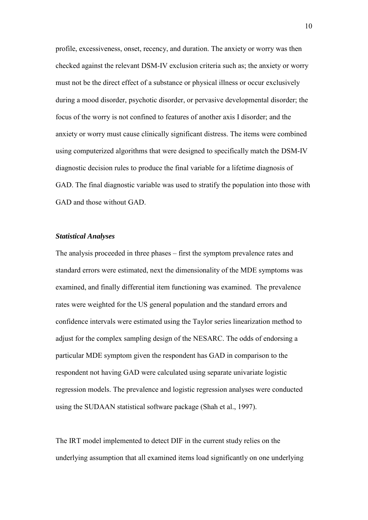profile, excessiveness, onset, recency, and duration. The anxiety or worry was then checked against the relevant DSM-IV exclusion criteria such as; the anxiety or worry must not be the direct effect of a substance or physical illness or occur exclusively during a mood disorder, psychotic disorder, or pervasive developmental disorder; the focus of the worry is not confined to features of another axis I disorder; and the anxiety or worry must cause clinically significant distress. The items were combined using computerized algorithms that were designed to specifically match the DSM-IV diagnostic decision rules to produce the final variable for a lifetime diagnosis of GAD. The final diagnostic variable was used to stratify the population into those with GAD and those without GAD.

### *Statistical Analyses*

The analysis proceeded in three phases – first the symptom prevalence rates and standard errors were estimated, next the dimensionality of the MDE symptoms was examined, and finally differential item functioning was examined. The prevalence rates were weighted for the US general population and the standard errors and confidence intervals were estimated using the Taylor series linearization method to adjust for the complex sampling design of the NESARC. The odds of endorsing a particular MDE symptom given the respondent has GAD in comparison to the respondent not having GAD were calculated using separate univariate logistic regression models. The prevalence and logistic regression analyses were conducted using the SUDAAN statistical software package (Shah et al., 1997).

The IRT model implemented to detect DIF in the current study relies on the underlying assumption that all examined items load significantly on one underlying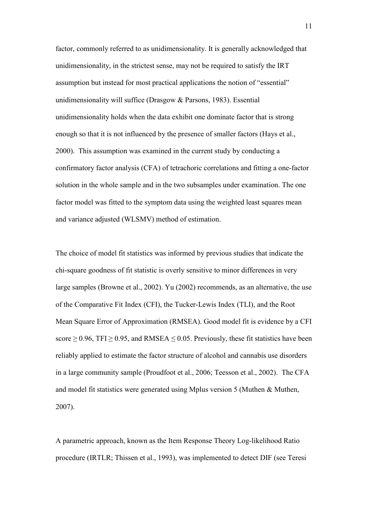factor, commonly referred to as unidimensionality. It is generally acknowledged that unidimensionality, in the strictest sense, may not be required to satisfy the IRT assumption but instead for most practical applications the notion of "essential" unidimensionality will suffice (Drasgow & Parsons, 1983). Essential unidimensionality holds when the data exhibit one dominate factor that is strong enough so that it is not influenced by the presence of smaller factors (Hays et al., 2000). This assumption was examined in the current study by conducting a confirmatory factor analysis (CFA) of tetrachoric correlations and fitting a one-factor solution in the whole sample and in the two subsamples under examination. The one factor model was fitted to the symptom data using the weighted least squares mean and variance adjusted (WLSMV) method of estimation.

The choice of model fit statistics was informed by previous studies that indicate the chi-square goodness of fit statistic is overly sensitive to minor differences in very large samples (Browne et al., 2002). Yu (2002) recommends, as an alternative, the use of the Comparative Fit Index (CFI), the Tucker-Lewis Index (TLI), and the Root Mean Square Error of Approximation (RMSEA). Good model fit is evidence by a CFI score  $\geq$  0.96, TFI  $\geq$  0.95, and RMSEA  $\leq$  0.05. Previously, these fit statistics have been reliably applied to estimate the factor structure of alcohol and cannabis use disorders in a large community sample (Proudfoot et al., 2006; Teesson et al., 2002). The CFA and model fit statistics were generated using Mplus version 5 (Muthen & Muthen, 2007).

A parametric approach, known as the Item Response Theory Log-likelihood Ratio procedure (IRTLR; Thissen et al., 1993), was implemented to detect DIF (see Teresi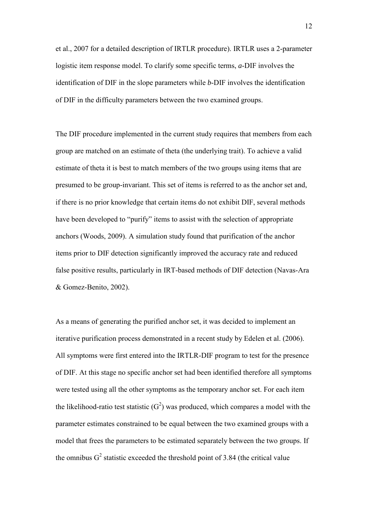et al., 2007 for a detailed description of IRTLR procedure). IRTLR uses a 2-parameter logistic item response model. To clarify some specific terms, *a*-DIF involves the identification of DIF in the slope parameters while *b*-DIF involves the identification of DIF in the difficulty parameters between the two examined groups.

The DIF procedure implemented in the current study requires that members from each group are matched on an estimate of theta (the underlying trait). To achieve a valid estimate of theta it is best to match members of the two groups using items that are presumed to be group-invariant. This set of items is referred to as the anchor set and, if there is no prior knowledge that certain items do not exhibit DIF, several methods have been developed to "purify" items to assist with the selection of appropriate anchors (Woods, 2009). A simulation study found that purification of the anchor items prior to DIF detection significantly improved the accuracy rate and reduced false positive results, particularly in IRT-based methods of DIF detection (Navas-Ara & Gomez-Benito, 2002).

As a means of generating the purified anchor set, it was decided to implement an iterative purification process demonstrated in a recent study by Edelen et al. (2006). All symptoms were first entered into the IRTLR-DIF program to test for the presence of DIF. At this stage no specific anchor set had been identified therefore all symptoms were tested using all the other symptoms as the temporary anchor set. For each item the likelihood-ratio test statistic  $(G^2)$  was produced, which compares a model with the parameter estimates constrained to be equal between the two examined groups with a model that frees the parameters to be estimated separately between the two groups. If the omnibus  $G^2$  statistic exceeded the threshold point of 3.84 (the critical value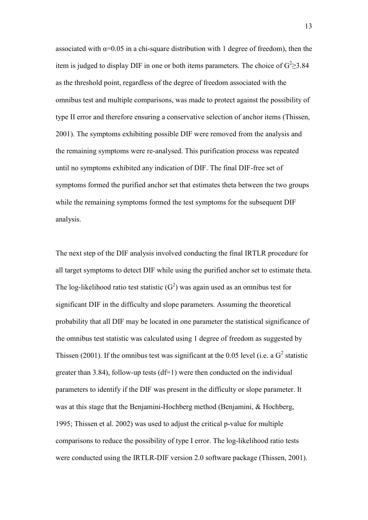associated with  $\alpha$ =0.05 in a chi-square distribution with 1 degree of freedom), then the item is judged to display DIF in one or both items parameters. The choice of  $G^2 \geq 3.84$ as the threshold point, regardless of the degree of freedom associated with the omnibus test and multiple comparisons, was made to protect against the possibility of type II error and therefore ensuring a conservative selection of anchor items (Thissen, 2001). The symptoms exhibiting possible DIF were removed from the analysis and the remaining symptoms were re-analysed. This purification process was repeated until no symptoms exhibited any indication of DIF. The final DIF-free set of symptoms formed the purified anchor set that estimates theta between the two groups while the remaining symptoms formed the test symptoms for the subsequent DIF analysis.

The next step of the DIF analysis involved conducting the final IRTLR procedure for all target symptoms to detect DIF while using the purified anchor set to estimate theta. The log-likelihood ratio test statistic  $(G^2)$  was again used as an omnibus test for significant DIF in the difficulty and slope parameters. Assuming the theoretical probability that all DIF may be located in one parameter the statistical significance of the omnibus test statistic was calculated using 1 degree of freedom as suggested by Thissen (2001). If the omnibus test was significant at the 0.05 level (i.e. a  $G<sup>2</sup>$  statistic greater than 3.84), follow-up tests  $(df=1)$  were then conducted on the individual parameters to identify if the DIF was present in the difficulty or slope parameter. It was at this stage that the Benjamini-Hochberg method (Benjamini, & Hochberg, 1995; Thissen et al. 2002) was used to adjust the critical p-value for multiple comparisons to reduce the possibility of type I error. The log-likelihood ratio tests were conducted using the IRTLR-DIF version 2.0 software package (Thissen, 2001).

13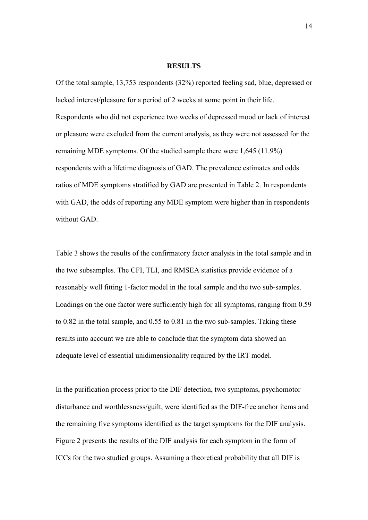#### **RESULTS**

Of the total sample, 13,753 respondents (32%) reported feeling sad, blue, depressed or lacked interest/pleasure for a period of 2 weeks at some point in their life. Respondents who did not experience two weeks of depressed mood or lack of interest or pleasure were excluded from the current analysis, as they were not assessed for the remaining MDE symptoms. Of the studied sample there were 1,645 (11.9%) respondents with a lifetime diagnosis of GAD. The prevalence estimates and odds ratios of MDE symptoms stratified by GAD are presented in Table 2. In respondents with GAD, the odds of reporting any MDE symptom were higher than in respondents without GAD.

Table 3 shows the results of the confirmatory factor analysis in the total sample and in the two subsamples. The CFI, TLI, and RMSEA statistics provide evidence of a reasonably well fitting 1-factor model in the total sample and the two sub-samples. Loadings on the one factor were sufficiently high for all symptoms, ranging from 0.59 to 0.82 in the total sample, and 0.55 to 0.81 in the two sub-samples. Taking these results into account we are able to conclude that the symptom data showed an adequate level of essential unidimensionality required by the IRT model.

In the purification process prior to the DIF detection, two symptoms, psychomotor disturbance and worthlessness/guilt, were identified as the DIF-free anchor items and the remaining five symptoms identified as the target symptoms for the DIF analysis. Figure 2 presents the results of the DIF analysis for each symptom in the form of ICCs for the two studied groups. Assuming a theoretical probability that all DIF is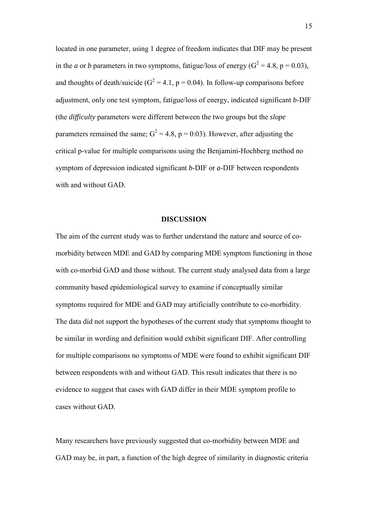located in one parameter, using 1 degree of freedom indicates that DIF may be present in the *a* or *b* parameters in two symptoms, fatigue/loss of energy ( $G^2 = 4.8$ ,  $p = 0.03$ ), and thoughts of death/suicide ( $G^2 = 4.1$ , p = 0.04). In follow-up comparisons before adjustment, only one test symptom, fatigue/loss of energy, indicated significant *b*-DIF (the *difficulty* parameters were different between the two groups but the *slope* parameters remained the same;  $G^2 = 4.8$ , p = 0.03). However, after adjusting the critical p-value for multiple comparisons using the Benjamini-Hochberg method no symptom of depression indicated significant *b*-DIF or *a-*DIF between respondents with and without GAD.

### **DISCUSSION**

The aim of the current study was to further understand the nature and source of comorbidity between MDE and GAD by comparing MDE symptom functioning in those with co-morbid GAD and those without. The current study analysed data from a large community based epidemiological survey to examine if conceptually similar symptoms required for MDE and GAD may artificially contribute to co-morbidity. The data did not support the hypotheses of the current study that symptoms thought to be similar in wording and definition would exhibit significant DIF. After controlling for multiple comparisons no symptoms of MDE were found to exhibit significant DIF between respondents with and without GAD. This result indicates that there is no evidence to suggest that cases with GAD differ in their MDE symptom profile to cases without GAD.

Many researchers have previously suggested that co-morbidity between MDE and GAD may be, in part, a function of the high degree of similarity in diagnostic criteria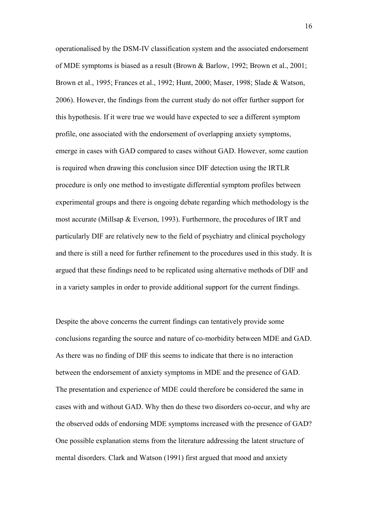operationalised by the DSM-IV classification system and the associated endorsement of MDE symptoms is biased as a result (Brown & Barlow, 1992; Brown et al., 2001; Brown et al., 1995; Frances et al., 1992; Hunt, 2000; Maser, 1998; Slade & Watson, 2006). However, the findings from the current study do not offer further support for this hypothesis. If it were true we would have expected to see a different symptom profile, one associated with the endorsement of overlapping anxiety symptoms, emerge in cases with GAD compared to cases without GAD. However, some caution is required when drawing this conclusion since DIF detection using the IRTLR procedure is only one method to investigate differential symptom profiles between experimental groups and there is ongoing debate regarding which methodology is the most accurate (Millsap & Everson, 1993). Furthermore, the procedures of IRT and particularly DIF are relatively new to the field of psychiatry and clinical psychology and there is still a need for further refinement to the procedures used in this study. It is argued that these findings need to be replicated using alternative methods of DIF and in a variety samples in order to provide additional support for the current findings.

Despite the above concerns the current findings can tentatively provide some conclusions regarding the source and nature of co-morbidity between MDE and GAD. As there was no finding of DIF this seems to indicate that there is no interaction between the endorsement of anxiety symptoms in MDE and the presence of GAD. The presentation and experience of MDE could therefore be considered the same in cases with and without GAD. Why then do these two disorders co-occur, and why are the observed odds of endorsing MDE symptoms increased with the presence of GAD? One possible explanation stems from the literature addressing the latent structure of mental disorders. Clark and Watson (1991) first argued that mood and anxiety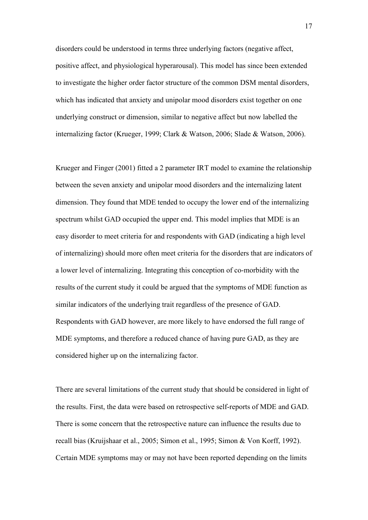disorders could be understood in terms three underlying factors (negative affect, positive affect, and physiological hyperarousal). This model has since been extended to investigate the higher order factor structure of the common DSM mental disorders, which has indicated that anxiety and unipolar mood disorders exist together on one underlying construct or dimension, similar to negative affect but now labelled the internalizing factor (Krueger, 1999; Clark & Watson, 2006; Slade & Watson, 2006).

Krueger and Finger (2001) fitted a 2 parameter IRT model to examine the relationship between the seven anxiety and unipolar mood disorders and the internalizing latent dimension. They found that MDE tended to occupy the lower end of the internalizing spectrum whilst GAD occupied the upper end. This model implies that MDE is an easy disorder to meet criteria for and respondents with GAD (indicating a high level of internalizing) should more often meet criteria for the disorders that are indicators of a lower level of internalizing. Integrating this conception of co-morbidity with the results of the current study it could be argued that the symptoms of MDE function as similar indicators of the underlying trait regardless of the presence of GAD. Respondents with GAD however, are more likely to have endorsed the full range of MDE symptoms, and therefore a reduced chance of having pure GAD, as they are considered higher up on the internalizing factor.

There are several limitations of the current study that should be considered in light of the results. First, the data were based on retrospective self-reports of MDE and GAD. There is some concern that the retrospective nature can influence the results due to recall bias (Kruijshaar et al., 2005; Simon et al., 1995; Simon & Von Korff, 1992). Certain MDE symptoms may or may not have been reported depending on the limits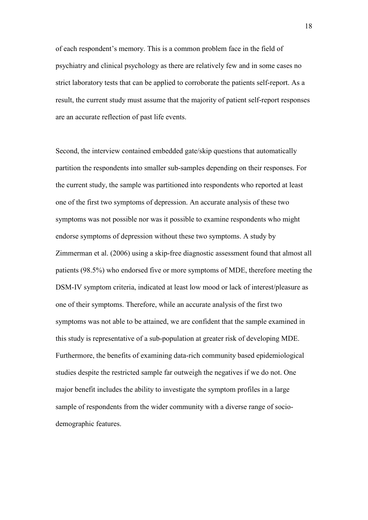of each respondent's memory. This is a common problem face in the field of psychiatry and clinical psychology as there are relatively few and in some cases no strict laboratory tests that can be applied to corroborate the patients self-report. As a result, the current study must assume that the majority of patient self-report responses are an accurate reflection of past life events.

Second, the interview contained embedded gate/skip questions that automatically partition the respondents into smaller sub-samples depending on their responses. For the current study, the sample was partitioned into respondents who reported at least one of the first two symptoms of depression. An accurate analysis of these two symptoms was not possible nor was it possible to examine respondents who might endorse symptoms of depression without these two symptoms. A study by Zimmerman et al. (2006) using a skip-free diagnostic assessment found that almost all patients (98.5%) who endorsed five or more symptoms of MDE, therefore meeting the DSM-IV symptom criteria, indicated at least low mood or lack of interest/pleasure as one of their symptoms. Therefore, while an accurate analysis of the first two symptoms was not able to be attained, we are confident that the sample examined in this study is representative of a sub-population at greater risk of developing MDE. Furthermore, the benefits of examining data-rich community based epidemiological studies despite the restricted sample far outweigh the negatives if we do not. One major benefit includes the ability to investigate the symptom profiles in a large sample of respondents from the wider community with a diverse range of sociodemographic features.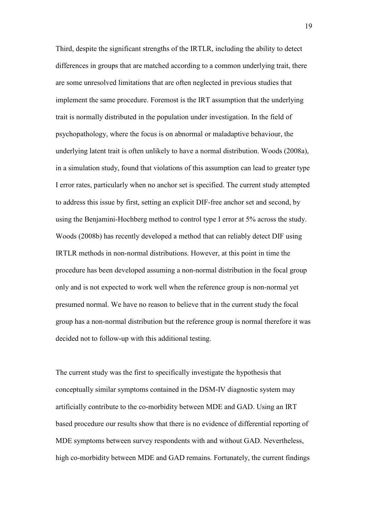Third, despite the significant strengths of the IRTLR, including the ability to detect differences in groups that are matched according to a common underlying trait, there are some unresolved limitations that are often neglected in previous studies that implement the same procedure. Foremost is the IRT assumption that the underlying trait is normally distributed in the population under investigation. In the field of psychopathology, where the focus is on abnormal or maladaptive behaviour, the underlying latent trait is often unlikely to have a normal distribution. Woods (2008a), in a simulation study, found that violations of this assumption can lead to greater type I error rates, particularly when no anchor set is specified. The current study attempted to address this issue by first, setting an explicit DIF-free anchor set and second, by using the Benjamini-Hochberg method to control type I error at 5% across the study. Woods (2008b) has recently developed a method that can reliably detect DIF using IRTLR methods in non-normal distributions. However, at this point in time the procedure has been developed assuming a non-normal distribution in the focal group only and is not expected to work well when the reference group is non-normal yet presumed normal. We have no reason to believe that in the current study the focal group has a non-normal distribution but the reference group is normal therefore it was decided not to follow-up with this additional testing.

The current study was the first to specifically investigate the hypothesis that conceptually similar symptoms contained in the DSM-IV diagnostic system may artificially contribute to the co-morbidity between MDE and GAD. Using an IRT based procedure our results show that there is no evidence of differential reporting of MDE symptoms between survey respondents with and without GAD. Nevertheless, high co-morbidity between MDE and GAD remains. Fortunately, the current findings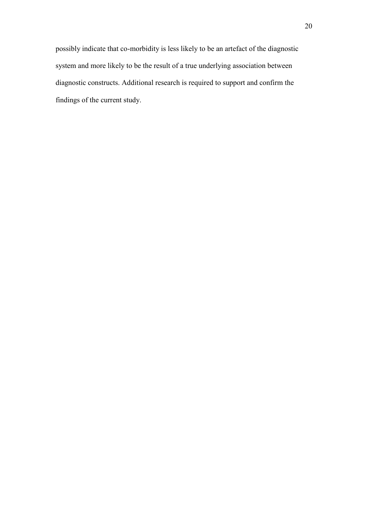possibly indicate that co-morbidity is less likely to be an artefact of the diagnostic system and more likely to be the result of a true underlying association between diagnostic constructs. Additional research is required to support and confirm the findings of the current study.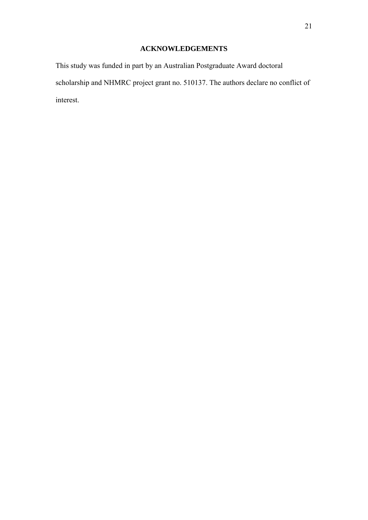# **ACKNOWLEDGEMENTS**

This study was funded in part by an Australian Postgraduate Award doctoral scholarship and NHMRC project grant no. 510137. The authors declare no conflict of interest.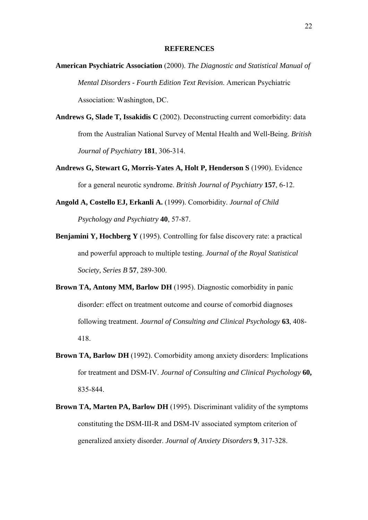#### **REFERENCES**

- **American Psychiatric Association** (2000). *The Diagnostic and Statistical Manual of Mental Disorders - Fourth Edition Text Revision*. American Psychiatric Association: Washington, DC.
- Andrews G, Slade T, Issakidis C (2002). Deconstructing current comorbidity: data from the Australian National Survey of Mental Health and Well-Being. *British Journal of Psychiatry* **181**, 306-314.
- **Andrews G, Stewart G, Morris-Yates A, Holt P, Henderson S** (1990). Evidence for a general neurotic syndrome. *British Journal of Psychiatry* **157**, 6-12.
- **Angold A, Costello EJ, Erkanli A.** (1999). Comorbidity. *Journal of Child Psychology and Psychiatry* **40**, 57-87.
- **Benjamini Y, Hochberg Y** (1995). Controlling for false discovery rate: a practical and powerful approach to multiple testing. *Journal of the Royal Statistical Society, Series B* **57**, 289-300.
- **Brown TA, Antony MM, Barlow DH** (1995). Diagnostic comorbidity in panic disorder: effect on treatment outcome and course of comorbid diagnoses following treatment. *Journal of Consulting and Clinical Psychology* **63**, 408- 418.
- **Brown TA, Barlow DH** (1992). Comorbidity among anxiety disorders: Implications for treatment and DSM-IV. *Journal of Consulting and Clinical Psychology* **60,**  835-844.
- **Brown TA, Marten PA, Barlow DH** (1995). Discriminant validity of the symptoms constituting the DSM-III-R and DSM-IV associated symptom criterion of generalized anxiety disorder. *Journal of Anxiety Disorders* **9**, 317-328.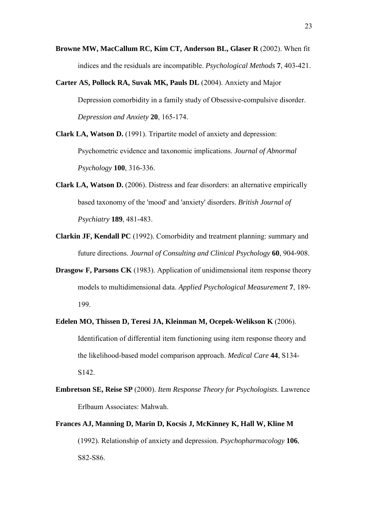- **Browne MW, MacCallum RC, Kim CT, Anderson BL, Glaser R** (2002). When fit indices and the residuals are incompatible. *Psychological Methods* **7**, 403-421.
- **Carter AS, Pollock RA, Suvak MK, Pauls DL** (2004). Anxiety and Major Depression comorbidity in a family study of Obsessive-compulsive disorder. *Depression and Anxiety* **20**, 165-174.
- **Clark LA, Watson D.** (1991). Tripartite model of anxiety and depression: Psychometric evidence and taxonomic implications. *Journal of Abnormal Psychology* **100**, 316-336.
- **Clark LA, Watson D.** (2006). Distress and fear disorders: an alternative empirically based taxonomy of the 'mood' and 'anxiety' disorders. *British Journal of Psychiatry* **189**, 481-483.
- **Clarkin JF, Kendall PC** (1992). Comorbidity and treatment planning: summary and future directions. *Journal of Consulting and Clinical Psychology* **60**, 904-908.
- **Drasgow F, Parsons CK** (1983). Application of unidimensional item response theory models to multidimensional data. *Applied Psychological Measurement* **7**, 189- 199.
- **Edelen MO, Thissen D, Teresi JA, Kleinman M, Ocepek-Welikson K** (2006). Identification of differential item functioning using item response theory and the likelihood-based model comparison approach. *Medical Care* **44**, S134- S142.
- **Embretson SE, Reise SP** (2000). *Item Response Theory for Psychologists*. Lawrence Erlbaum Associates: Mahwah.
- **Frances AJ, Manning D, Marin D, Kocsis J, McKinney K, Hall W, Kline M** (1992). Relationship of anxiety and depression. *Psychopharmacology* **106**, S82-S86.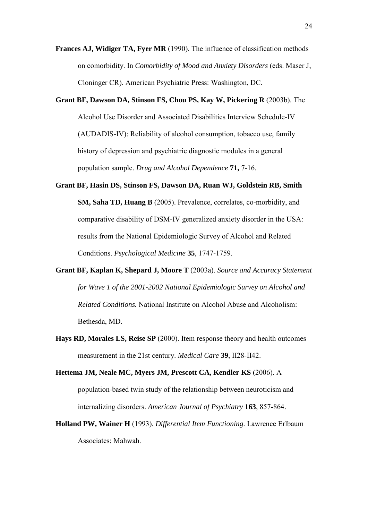- **Frances AJ, Widiger TA, Fyer MR** (1990). The influence of classification methods on comorbidity. In *Comorbidity of Mood and Anxiety Disorders* (eds. Maser J, Cloninger CR). American Psychiatric Press: Washington, DC.
- **Grant BF, Dawson DA, Stinson FS, Chou PS, Kay W, Pickering R** (2003b). The Alcohol Use Disorder and Associated Disabilities Interview Schedule-IV (AUDADIS-IV): Reliability of alcohol consumption, tobacco use, family history of depression and psychiatric diagnostic modules in a general population sample. *Drug and Alcohol Dependence* **71,** 7-16.
- **Grant BF, Hasin DS, Stinson FS, Dawson DA, Ruan WJ, Goldstein RB, Smith SM, Saha TD, Huang B** (2005). Prevalence, correlates, co-morbidity, and comparative disability of DSM-IV generalized anxiety disorder in the USA: results from the National Epidemiologic Survey of Alcohol and Related Conditions. *Psychological Medicine* **35**, 1747-1759.
- **Grant BF, Kaplan K, Shepard J, Moore T** (2003a). *Source and Accuracy Statement for Wave 1 of the 2001-2002 National Epidemiologic Survey on Alcohol and Related Conditions.* National Institute on Alcohol Abuse and Alcoholism: Bethesda, MD.
- **Hays RD, Morales LS, Reise SP** (2000). Item response theory and health outcomes measurement in the 21st century. *Medical Care* **39**, II28-II42.
- **Hettema JM, Neale MC, Myers JM, Prescott CA, Kendler KS** (2006). A population-based twin study of the relationship between neuroticism and internalizing disorders. *American Journal of Psychiatry* **163**, 857-864.
- **Holland PW, Wainer H** (1993). *Differential Item Functioning*. Lawrence Erlbaum Associates: Mahwah.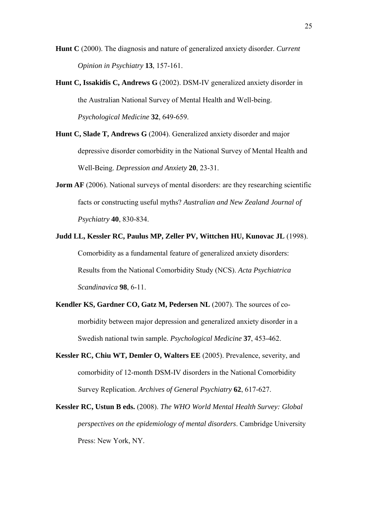- **Hunt C** (2000). The diagnosis and nature of generalized anxiety disorder. *Current Opinion in Psychiatry* **13**, 157-161.
- **Hunt C, Issakidis C, Andrews G** (2002). DSM-IV generalized anxiety disorder in the Australian National Survey of Mental Health and Well-being. *Psychological Medicine* **32**, 649-659.
- **Hunt C, Slade T, Andrews G** (2004). Generalized anxiety disorder and major depressive disorder comorbidity in the National Survey of Mental Health and Well-Being. *Depression and Anxiety* **20**, 23-31.
- **Jorm AF** (2006). National surveys of mental disorders: are they researching scientific facts or constructing useful myths? *Australian and New Zealand Journal of Psychiatry* **40**, 830-834.
- **Judd LL, Kessler RC, Paulus MP, Zeller PV, Wittchen HU, Kunovac JL** (1998). Comorbidity as a fundamental feature of generalized anxiety disorders: Results from the National Comorbidity Study (NCS). *Acta Psychiatrica Scandinavica* **98**, 6-11.
- **Kendler KS, Gardner CO, Gatz M, Pedersen NL** (2007). The sources of comorbidity between major depression and generalized anxiety disorder in a Swedish national twin sample. *Psychological Medicine* **37**, 453-462.
- **Kessler RC, Chiu WT, Demler O, Walters EE** (2005). Prevalence, severity, and comorbidity of 12-month DSM-IV disorders in the National Comorbidity Survey Replication. *Archives of General Psychiatry* **62**, 617-627.
- **Kessler RC, Ustun B eds.** (2008). *The WHO World Mental Health Survey: Global perspectives on the epidemiology of mental disorders*. Cambridge University Press: New York, NY.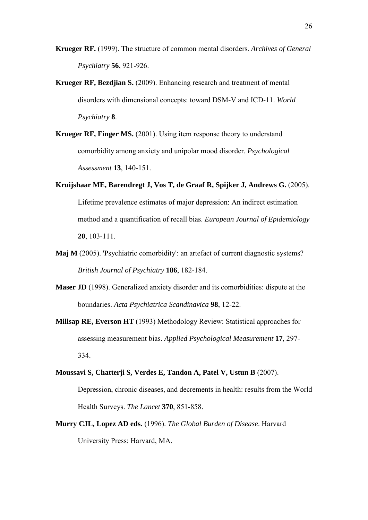**Krueger RF.** (1999). The structure of common mental disorders. *Archives of General Psychiatry* **56**, 921-926.

- **Krueger RF, Bezdjian S.** (2009). Enhancing research and treatment of mental disorders with dimensional concepts: toward DSM-V and ICD-11. *World Psychiatry* **8**.
- **Krueger RF, Finger MS.** (2001). Using item response theory to understand comorbidity among anxiety and unipolar mood disorder. *Psychological Assessment* **13**, 140-151.
- **Kruijshaar ME, Barendregt J, Vos T, de Graaf R, Spijker J, Andrews G.** (2005). Lifetime prevalence estimates of major depression: An indirect estimation method and a quantification of recall bias. *European Journal of Epidemiology* **20**, 103-111.
- **Maj M** (2005). 'Psychiatric comorbidity': an artefact of current diagnostic systems? *British Journal of Psychiatry* **186**, 182-184.
- **Maser JD** (1998). Generalized anxiety disorder and its comorbidities: dispute at the boundaries. *Acta Psychiatrica Scandinavica* **98**, 12-22.
- **Millsap RE, Everson HT** (1993) Methodology Review: Statistical approaches for assessing measurement bias. *Applied Psychological Measurement* **17**, 297- 334.
- **Moussavi S, Chatterji S, Verdes E, Tandon A, Patel V, Ustun B** (2007). Depression, chronic diseases, and decrements in health: results from the World Health Surveys. *The Lancet* **370**, 851-858.
- **Murry CJL, Lopez AD eds.** (1996). *The Global Burden of Disease*. Harvard University Press: Harvard, MA.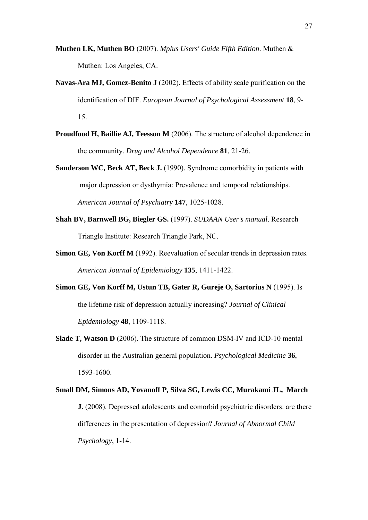- **Muthen LK, Muthen BO** (2007). *Mplus Users' Guide Fifth Edition*. Muthen & Muthen: Los Angeles, CA.
- **Navas-Ara MJ, Gomez-Benito J** (2002). Effects of ability scale purification on the identification of DIF. *European Journal of Psychological Assessment* **18**, 9- 15.
- **Proudfood H, Baillie AJ, Teesson M** (2006). The structure of alcohol dependence in the community. *Drug and Alcohol Dependence* **81**, 21-26.
- **Sanderson WC, Beck AT, Beck J.** (1990). Syndrome comorbidity in patients with major depression or dysthymia: Prevalence and temporal relationships. *American Journal of Psychiatry* **147**, 1025-1028.
- **Shah BV, Barnwell BG, Biegler GS.** (1997). *SUDAAN User's manual*. Research Triangle Institute: Research Triangle Park, NC.
- **Simon GE, Von Korff M** (1992). Reevaluation of secular trends in depression rates. *American Journal of Epidemiology* **135**, 1411-1422.
- **Simon GE, Von Korff M, Ustun TB, Gater R, Gureje O, Sartorius N** (1995). Is the lifetime risk of depression actually increasing? *Journal of Clinical Epidemiology* **48**, 1109-1118.
- **Slade T, Watson D** (2006). The structure of common DSM-IV and ICD-10 mental disorder in the Australian general population. *Psychological Medicine* **36**, 1593-1600.
- **Small DM, Simons AD, Yovanoff P, Silva SG, Lewis CC, Murakami JL, March J.** (2008). Depressed adolescents and comorbid psychiatric disorders: are there differences in the presentation of depression? *Journal of Abnormal Child Psychology*, 1-14.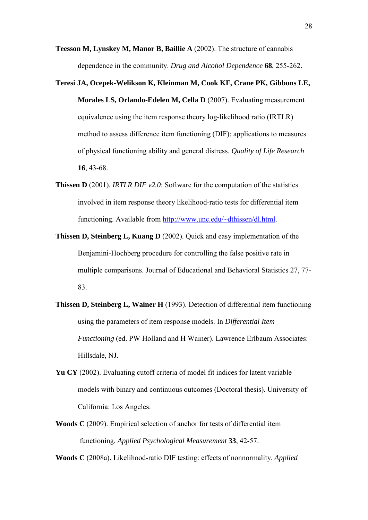- **Teesson M, Lynskey M, Manor B, Baillie A** (2002). The structure of cannabis dependence in the community. *Drug and Alcohol Dependence* **68**, 255-262.
- **Teresi JA, Ocepek-Welikson K, Kleinman M, Cook KF, Crane PK, Gibbons LE, Morales LS, Orlando-Edelen M, Cella D** (2007). Evaluating measurement equivalence using the item response theory log-likelihood ratio (IRTLR) method to assess difference item functioning (DIF): applications to measures of physical functioning ability and general distress. *Quality of Life Research* **16**, 43-68.
- **Thissen D** (2001). *IRTLR DIF v2.0*: Software for the computation of the statistics involved in item response theory likelihood-ratio tests for differential item functioning. Available from [http://www.unc.edu/~dthissen/dl.html.](http://www.unc.edu/~dthissen/dl.html)
- **Thissen D, Steinberg L, Kuang D** (2002). Quick and easy implementation of the Benjamini-Hochberg procedure for controlling the false positive rate in multiple comparisons. Journal of Educational and Behavioral Statistics 27, 77- 83.
- **Thissen D, Steinberg L, Wainer H** (1993). Detection of differential item functioning using the parameters of item response models. In *Differential Item Functioning* (ed. PW Holland and H Wainer). Lawrence Erlbaum Associates: Hillsdale, NJ.
- **Yu CY** (2002). Evaluating cutoff criteria of model fit indices for latent variable models with binary and continuous outcomes (Doctoral thesis). University of California: Los Angeles.
- **Woods C** (2009). Empirical selection of anchor for tests of differential item functioning. *Applied Psychological Measurement* **33**, 42-57.

**Woods C** (2008a). Likelihood-ratio DIF testing: effects of nonnormality. *Applied*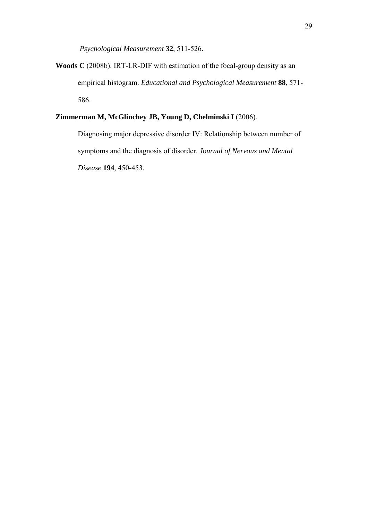*Psychological Measurement* **32**, 511-526.

**Woods C** (2008b). IRT-LR-DIF with estimation of the focal-group density as an empirical histogram. *Educational and Psychological Measurement* **88**, 571- 586.

## **Zimmerman M, McGlinchey JB, Young D, Chelminski I** (2006).

Diagnosing major depressive disorder IV: Relationship between number of symptoms and the diagnosis of disorder. *Journal of Nervous and Mental Disease* **194**, 450-453.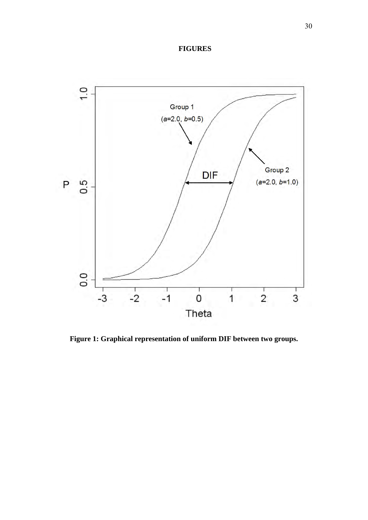## **FIGURES**



**Figure 1: Graphical representation of uniform DIF between two groups.**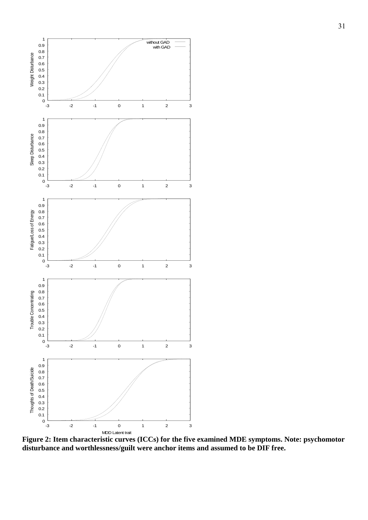

**Figure 2: Item characteristic curves (ICCs) for the five examined MDE symptoms. Note: psychomotor disturbance and worthlessness/guilt were anchor items and assumed to be DIF free.**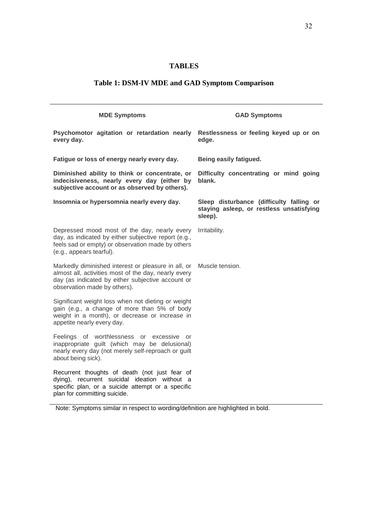# **TABLES**

# **Table 1: DSM-IV MDE and GAD Symptom Comparison**

| <b>MDE Symptoms</b>                                                                                                                                                                              | <b>GAD Symptoms</b>                                                                             |
|--------------------------------------------------------------------------------------------------------------------------------------------------------------------------------------------------|-------------------------------------------------------------------------------------------------|
| Psychomotor agitation or retardation nearly Restlessness or feeling keyed up or on<br>every day.                                                                                                 | edge.                                                                                           |
| Fatigue or loss of energy nearly every day.                                                                                                                                                      | Being easily fatigued.                                                                          |
| Diminished ability to think or concentrate, or<br>indecisiveness, nearly every day (either by<br>subjective account or as observed by others).                                                   | Difficulty concentrating or mind going<br>blank.                                                |
| Insomnia or hypersomnia nearly every day.                                                                                                                                                        | Sleep disturbance (difficulty falling or<br>staying asleep, or restless unsatisfying<br>sleep). |
| Depressed mood most of the day, nearly every<br>day, as indicated by either subjective report (e.g.,<br>feels sad or empty) or observation made by others<br>(e.g., appears tearful).            | Irritability.                                                                                   |
| Markedly diminished interest or pleasure in all, or<br>almost all, activities most of the day, nearly every<br>day (as indicated by either subjective account or<br>observation made by others). | Muscle tension.                                                                                 |
| Significant weight loss when not dieting or weight<br>gain (e.g., a change of more than 5% of body<br>weight in a month), or decrease or increase in<br>appetite nearly every day.               |                                                                                                 |
| Feelings of worthlessness or excessive or<br>inappropriate guilt (which may be delusional)<br>nearly every day (not merely self-reproach or guilt<br>about being sick).                          |                                                                                                 |
| Recurrent thoughts of death (not just fear of<br>dying), recurrent suicidal ideation without a<br>specific plan, or a suicide attempt or a specific<br>plan for committing suicide.              |                                                                                                 |

Note: Symptoms similar in respect to wording/definition are highlighted in bold.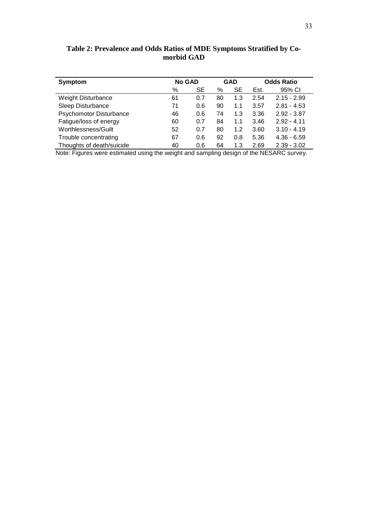| <b>Symptom</b>            | <b>No GAD</b> |     | <b>GAD</b> |           | <b>Odds Ratio</b> |               |
|---------------------------|---------------|-----|------------|-----------|-------------------|---------------|
|                           | %             | SE  | %          | <b>SE</b> | Est.              | 95% CI        |
| <b>Weight Disturbance</b> | 61            | 0.7 | 80         | 1.3       | 2.54              | $2.15 - 2.99$ |
| Sleep Disturbance         | 71            | 0.6 | 90         | 1.1       | 3.57              | $2.81 - 4.53$ |
| Psychomotor Disturbance   | 46            | 0.6 | 74         | 1.3       | 3.36              | $2.92 - 3.87$ |
| Fatigue/loss of energy    | 60            | 0.7 | 84         | 1.1       | 3.46              | $2.92 - 4.11$ |
| Worthlessness/Guilt       | 52            | 0.7 | 80         | 1.2       | 3.60              | $3.10 - 4.19$ |
| Trouble concentrating     | 67            | 0.6 | 92         | 0.8       | 5.36              | $4.36 - 6.59$ |
| Thoughts of death/suicide | 40            | 0.6 | 64         | 1.3       | 2.69              | $2.39 - 3.02$ |

**Table 2: Prevalence and Odds Ratios of MDE Symptoms Stratified by Comorbid GAD**

Note: Figures were estimated using the weight and sampling design of the NESARC survey.